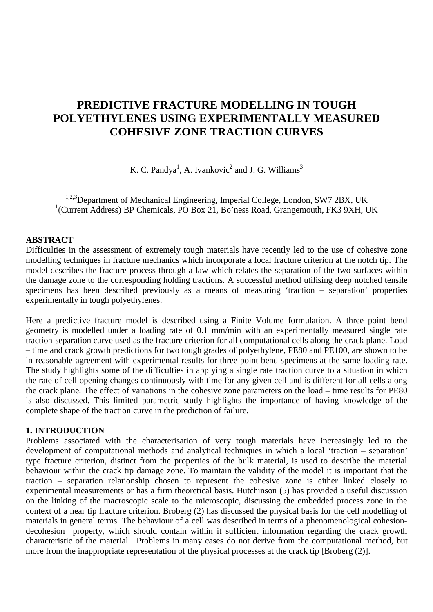# **PREDICTIVE FRACTURE MODELLING IN TOUGH POLYETHYLENES USING EXPERIMENTALLY MEASURED COHESIVE ZONE TRACTION CURVES**

K. C. Pandya<sup>1</sup>, A. Ivankovic<sup>2</sup> and J. G. Williams<sup>3</sup>

<sup>1,2,3</sup>Department of Mechanical Engineering, Imperial College, London, SW7 2BX, UK <sup>1</sup>(Current Address) BP Chemicals, PO Box 21, Bo'ness Road, Grangemouth, FK3 9XH, UK

### **ABSTRACT**

Difficulties in the assessment of extremely tough materials have recently led to the use of cohesive zone modelling techniques in fracture mechanics which incorporate a local fracture criterion at the notch tip. The model describes the fracture process through a law which relates the separation of the two surfaces within the damage zone to the corresponding holding tractions. A successful method utilising deep notched tensile specimens has been described previously as a means of measuring 'traction – separation' properties experimentally in tough polyethylenes.

Here a predictive fracture model is described using a Finite Volume formulation. A three point bend geometry is modelled under a loading rate of 0.1 mm/min with an experimentally measured single rate traction-separation curve used as the fracture criterion for all computational cells along the crack plane. Load – time and crack growth predictions for two tough grades of polyethylene, PE80 and PE100, are shown to be in reasonable agreement with experimental results for three point bend specimens at the same loading rate. The study highlights some of the difficulties in applying a single rate traction curve to a situation in which the rate of cell opening changes continuously with time for any given cell and is different for all cells along the crack plane. The effect of variations in the cohesive zone parameters on the load – time results for PE80 is also discussed. This limited parametric study highlights the importance of having knowledge of the complete shape of the traction curve in the prediction of failure.

#### **1. INTRODUCTION**

Problems associated with the characterisation of very tough materials have increasingly led to the development of computational methods and analytical techniques in which a local 'traction – separation' type fracture criterion, distinct from the properties of the bulk material, is used to describe the material behaviour within the crack tip damage zone. To maintain the validity of the model it is important that the traction – separation relationship chosen to represent the cohesive zone is either linked closely to experimental measurements or has a firm theoretical basis. Hutchinson (5) has provided a useful discussion on the linking of the macroscopic scale to the microscopic, discussing the embedded process zone in the context of a near tip fracture criterion. Broberg (2) has discussed the physical basis for the cell modelling of materials in general terms. The behaviour of a cell was described in terms of a phenomenological cohesiondecohesion property, which should contain within it sufficient information regarding the crack growth characteristic of the material. Problems in many cases do not derive from the computational method, but more from the inappropriate representation of the physical processes at the crack tip [Broberg (2)].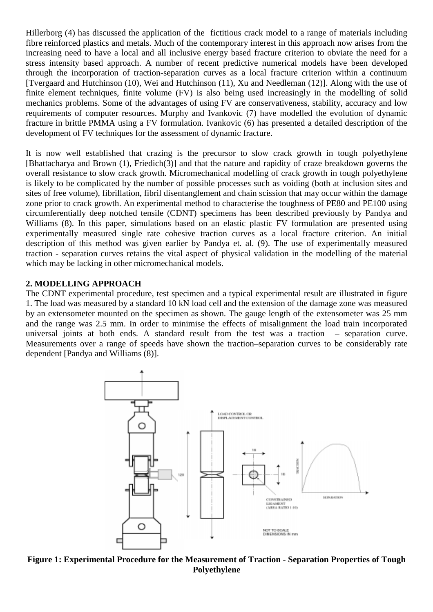Hillerborg (4) has discussed the application of the fictitious crack model to a range of materials including fibre reinforced plastics and metals. Much of the contemporary interest in this approach now arises from the increasing need to have a local and all inclusive energy based fracture criterion to obviate the need for a stress intensity based approach. A number of recent predictive numerical models have been developed through the incorporation of traction-separation curves as a local fracture criterion within a continuum [Tvergaard and Hutchinson (10), Wei and Hutchinson (11), Xu and Needleman (12)]. Along with the use of finite element techniques, finite volume (FV) is also being used increasingly in the modelling of solid mechanics problems. Some of the advantages of using FV are conservativeness, stability, accuracy and low requirements of computer resources. Murphy and Ivankovic (7) have modelled the evolution of dynamic fracture in brittle PMMA using a FV formulation. Ivankovic (6) has presented a detailed description of the development of FV techniques for the assessment of dynamic fracture.

It is now well established that crazing is the precursor to slow crack growth in tough polyethylene [Bhattacharya and Brown (1), Friedich(3)] and that the nature and rapidity of craze breakdown governs the overall resistance to slow crack growth. Micromechanical modelling of crack growth in tough polyethylene is likely to be complicated by the number of possible processes such as voiding (both at inclusion sites and sites of free volume), fibrillation, fibril disentanglement and chain scission that may occur within the damage zone prior to crack growth. An experimental method to characterise the toughness of PE80 and PE100 using circumferentially deep notched tensile (CDNT) specimens has been described previously by Pandya and Williams (8). In this paper, simulations based on an elastic plastic FV formulation are presented using experimentally measured single rate cohesive traction curves as a local fracture criterion. An initial description of this method was given earlier by Pandya et. al. (9). The use of experimentally measured traction - separation curves retains the vital aspect of physical validation in the modelling of the material which may be lacking in other micromechanical models.

## **2. MODELLING APPROACH**

The CDNT experimental procedure, test specimen and a typical experimental result are illustrated in figure 1. The load was measured by a standard 10 kN load cell and the extension of the damage zone was measured by an extensometer mounted on the specimen as shown. The gauge length of the extensometer was 25 mm and the range was 2.5 mm. In order to minimise the effects of misalignment the load train incorporated universal joints at both ends. A standard result from the test was a traction – separation curve. Measurements over a range of speeds have shown the traction–separation curves to be considerably rate dependent [Pandya and Williams (8)].



**Figure 1: Experimental Procedure for the Measurement of Traction - Separation Properties of Tough Polyethylene**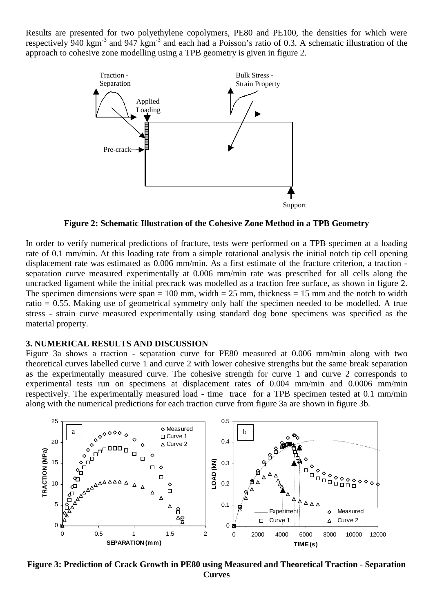Results are presented for two polyethylene copolymers, PE80 and PE100, the densities for which were respectively 940 kgm<sup>-3</sup> and 947 kgm<sup>-3</sup> and each had a Poisson's ratio of 0.3. A schematic illustration of the approach to cohesive zone modelling using a TPB geometry is given in figure 2.



**Figure 2: Schematic Illustration of the Cohesive Zone Method in a TPB Geometry**

In order to verify numerical predictions of fracture, tests were performed on a TPB specimen at a loading rate of 0.1 mm/min. At this loading rate from a simple rotational analysis the initial notch tip cell opening displacement rate was estimated as 0.006 mm/min. As a first estimate of the fracture criterion, a traction separation curve measured experimentally at 0.006 mm/min rate was prescribed for all cells along the uncracked ligament while the initial precrack was modelled as a traction free surface, as shown in figure 2. The specimen dimensions were span = 100 mm, width =  $25$  mm, thickness = 15 mm and the notch to width ratio = 0.55. Making use of geometrical symmetry only half the specimen needed to be modelled. A true stress - strain curve measured experimentally using standard dog bone specimens was specified as the material property.

## **3. NUMERICAL RESULTS AND DISCUSSION**

Figure 3a shows a traction - separation curve for PE80 measured at 0.006 mm/min along with two theoretical curves labelled curve 1 and curve 2 with lower cohesive strengths but the same break separation as the experimentally measured curve. The cohesive strength for curve 1 and curve 2 corresponds to experimental tests run on specimens at displacement rates of 0.004 mm/min and 0.0006 mm/min respectively. The experimentally measured load - time trace for a TPB specimen tested at 0.1 mm/min along with the numerical predictions for each traction curve from figure 3a are shown in figure 3b.



**Figure 3: Prediction of Crack Growth in PE80 using Measured and Theoretical Traction - Separation Curves**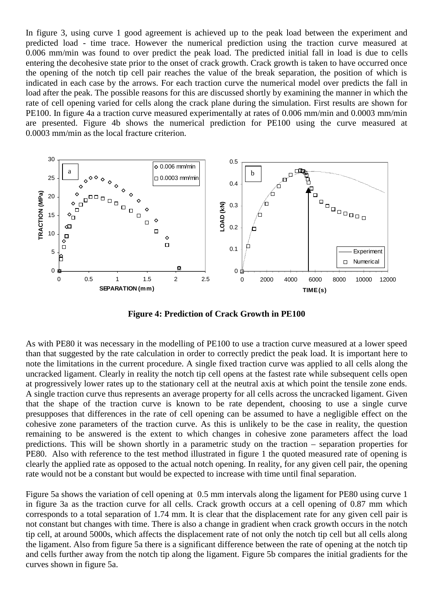In figure 3, using curve 1 good agreement is achieved up to the peak load between the experiment and predicted load - time trace. However the numerical prediction using the traction curve measured at 0.006 mm/min was found to over predict the peak load. The predicted initial fall in load is due to cells entering the decohesive state prior to the onset of crack growth. Crack growth is taken to have occurred once the opening of the notch tip cell pair reaches the value of the break separation, the position of which is indicated in each case by the arrows. For each traction curve the numerical model over predicts the fall in load after the peak. The possible reasons for this are discussed shortly by examining the manner in which the rate of cell opening varied for cells along the crack plane during the simulation. First results are shown for PE100. In figure 4a a traction curve measured experimentally at rates of 0.006 mm/min and 0.0003 mm/min are presented. Figure 4b shows the numerical prediction for PE100 using the curve measured at 0.0003 mm/min as the local fracture criterion.



**Figure 4: Prediction of Crack Growth in PE100**

As with PE80 it was necessary in the modelling of PE100 to use a traction curve measured at a lower speed than that suggested by the rate calculation in order to correctly predict the peak load. It is important here to note the limitations in the current procedure. A single fixed traction curve was applied to all cells along the uncracked ligament. Clearly in reality the notch tip cell opens at the fastest rate while subsequent cells open at progressively lower rates up to the stationary cell at the neutral axis at which point the tensile zone ends. A single traction curve thus represents an average property for all cells across the uncracked ligament. Given that the shape of the traction curve is known to be rate dependent, choosing to use a single curve presupposes that differences in the rate of cell opening can be assumed to have a negligible effect on the cohesive zone parameters of the traction curve. As this is unlikely to be the case in reality, the question remaining to be answered is the extent to which changes in cohesive zone parameters affect the load predictions. This will be shown shortly in a parametric study on the traction – separation properties for PE80. Also with reference to the test method illustrated in figure 1 the quoted measured rate of opening is clearly the applied rate as opposed to the actual notch opening. In reality, for any given cell pair, the opening rate would not be a constant but would be expected to increase with time until final separation.

Figure 5a shows the variation of cell opening at 0.5 mm intervals along the ligament for PE80 using curve 1 in figure 3a as the traction curve for all cells. Crack growth occurs at a cell opening of 0.87 mm which corresponds to a total separation of 1.74 mm. It is clear that the displacement rate for any given cell pair is not constant but changes with time. There is also a change in gradient when crack growth occurs in the notch tip cell, at around 5000s, which affects the displacement rate of not only the notch tip cell but all cells along the ligament. Also from figure 5a there is a significant difference between the rate of opening at the notch tip and cells further away from the notch tip along the ligament. Figure 5b compares the initial gradients for the curves shown in figure 5a.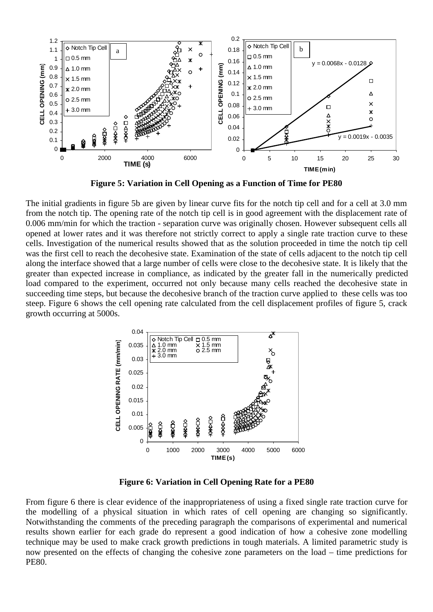

**Figure 5: Variation in Cell Opening as a Function of Time for PE80**

The initial gradients in figure 5b are given by linear curve fits for the notch tip cell and for a cell at 3.0 mm from the notch tip. The opening rate of the notch tip cell is in good agreement with the displacement rate of 0.006 mm/min for which the traction - separation curve was originally chosen. However subsequent cells all opened at lower rates and it was therefore not strictly correct to apply a single rate traction curve to these cells. Investigation of the numerical results showed that as the solution proceeded in time the notch tip cell was the first cell to reach the decohesive state. Examination of the state of cells adjacent to the notch tip cell along the interface showed that a large number of cells were close to the decohesive state. It is likely that the greater than expected increase in compliance, as indicated by the greater fall in the numerically predicted load compared to the experiment, occurred not only because many cells reached the decohesive state in succeeding time steps, but because the decohesive branch of the traction curve applied to these cells was too steep. Figure 6 shows the cell opening rate calculated from the cell displacement profiles of figure 5, crack growth occurring at 5000s.



**Figure 6: Variation in Cell Opening Rate for a PE80**

From figure 6 there is clear evidence of the inappropriateness of using a fixed single rate traction curve for the modelling of a physical situation in which rates of cell opening are changing so significantly. Notwithstanding the comments of the preceding paragraph the comparisons of experimental and numerical results shown earlier for each grade do represent a good indication of how a cohesive zone modelling technique may be used to make crack growth predictions in tough materials. A limited parametric study is now presented on the effects of changing the cohesive zone parameters on the load – time predictions for PE80.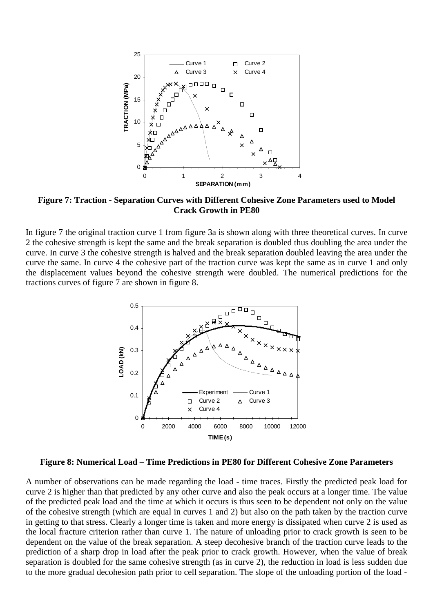

**Figure 7: Traction - Separation Curves with Different Cohesive Zone Parameters used to Model Crack Growth in PE80**

In figure 7 the original traction curve 1 from figure 3a is shown along with three theoretical curves. In curve 2 the cohesive strength is kept the same and the break separation is doubled thus doubling the area under the curve. In curve 3 the cohesive strength is halved and the break separation doubled leaving the area under the curve the same. In curve 4 the cohesive part of the traction curve was kept the same as in curve 1 and only the displacement values beyond the cohesive strength were doubled. The numerical predictions for the tractions curves of figure 7 are shown in figure 8.



**Figure 8: Numerical Load – Time Predictions in PE80 for Different Cohesive Zone Parameters**

A number of observations can be made regarding the load - time traces. Firstly the predicted peak load for curve 2 is higher than that predicted by any other curve and also the peak occurs at a longer time. The value of the predicted peak load and the time at which it occurs is thus seen to be dependent not only on the value of the cohesive strength (which are equal in curves 1 and 2) but also on the path taken by the traction curve in getting to that stress. Clearly a longer time is taken and more energy is dissipated when curve 2 is used as the local fracture criterion rather than curve 1. The nature of unloading prior to crack growth is seen to be dependent on the value of the break separation. A steep decohesive branch of the traction curve leads to the prediction of a sharp drop in load after the peak prior to crack growth. However, when the value of break separation is doubled for the same cohesive strength (as in curve 2), the reduction in load is less sudden due to the more gradual decohesion path prior to cell separation. The slope of the unloading portion of the load -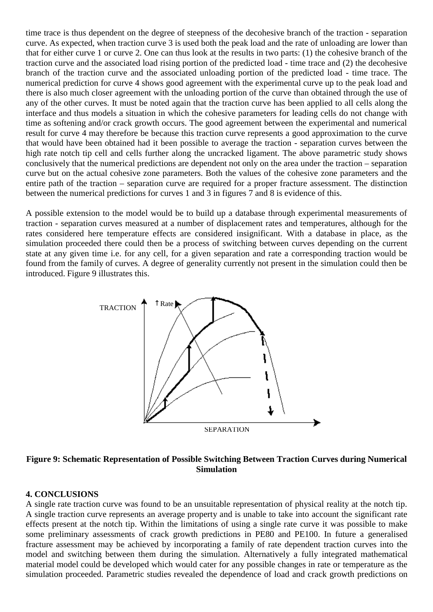time trace is thus dependent on the degree of steepness of the decohesive branch of the traction - separation curve. As expected, when traction curve 3 is used both the peak load and the rate of unloading are lower than that for either curve 1 or curve 2. One can thus look at the results in two parts: (1) the cohesive branch of the traction curve and the associated load rising portion of the predicted load - time trace and (2) the decohesive branch of the traction curve and the associated unloading portion of the predicted load - time trace. The numerical prediction for curve 4 shows good agreement with the experimental curve up to the peak load and there is also much closer agreement with the unloading portion of the curve than obtained through the use of any of the other curves. It must be noted again that the traction curve has been applied to all cells along the interface and thus models a situation in which the cohesive parameters for leading cells do not change with time as softening and/or crack growth occurs. The good agreement between the experimental and numerical result for curve 4 may therefore be because this traction curve represents a good approximation to the curve that would have been obtained had it been possible to average the traction - separation curves between the high rate notch tip cell and cells further along the uncracked ligament. The above parametric study shows conclusively that the numerical predictions are dependent not only on the area under the traction – separation curve but on the actual cohesive zone parameters. Both the values of the cohesive zone parameters and the entire path of the traction – separation curve are required for a proper fracture assessment. The distinction between the numerical predictions for curves 1 and 3 in figures 7 and 8 is evidence of this.

A possible extension to the model would be to build up a database through experimental measurements of traction - separation curves measured at a number of displacement rates and temperatures, although for the rates considered here temperature effects are considered insignificant. With a database in place, as the simulation proceeded there could then be a process of switching between curves depending on the current state at any given time i.e. for any cell, for a given separation and rate a corresponding traction would be found from the family of curves. A degree of generality currently not present in the simulation could then be introduced. Figure 9 illustrates this.



**Figure 9: Schematic Representation of Possible Switching Between Traction Curves during Numerical Simulation**

#### **4. CONCLUSIONS**

A single rate traction curve was found to be an unsuitable representation of physical reality at the notch tip. A single traction curve represents an average property and is unable to take into account the significant rate effects present at the notch tip. Within the limitations of using a single rate curve it was possible to make some preliminary assessments of crack growth predictions in PE80 and PE100. In future a generalised fracture assessment may be achieved by incorporating a family of rate dependent traction curves into the model and switching between them during the simulation. Alternatively a fully integrated mathematical material model could be developed which would cater for any possible changes in rate or temperature as the simulation proceeded. Parametric studies revealed the dependence of load and crack growth predictions on